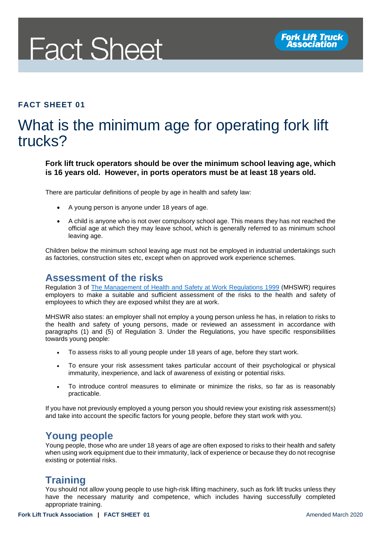

#### **FACT SHEET 01**

# What is the minimum age for operating fork lift trucks?

**Fork lift truck operators should be over the minimum school leaving age, which is 16 years old. However, in ports operators must be at least 18 years old.**

There are particular definitions of people by age in health and safety law:

- A young person is anyone under 18 years of age.
- A child is anyone who is not over compulsory school age. This means they has not reached the official age at which they may leave school, which is generally referred to as minimum school leaving age.

Children below the minimum school leaving age must not be employed in industrial undertakings such as factories, construction sites etc, except when on approved work experience schemes.

#### **Assessment of the risks**

Regulation 3 of [The Management of Health and Safety at Work Regulations 1999](http://www.legislation.gov.uk/uksi/1999/3242/contents/made) (MHSWR) requires employers to make a suitable and sufficient assessment of the risks to the health and safety of employees to which they are exposed whilst they are at work.

MHSWR also states: an employer shall not employ a young person unless he has, in relation to risks to the health and safety of young persons, made or reviewed an assessment in accordance with paragraphs (1) and (5) of Regulation 3. Under the Regulations, you have specific responsibilities towards young people:

- To assess risks to all young people under 18 years of age, before they start work.
- To ensure your risk assessment takes particular account of their psychological or physical immaturity, inexperience, and lack of awareness of existing or potential risks.
- To introduce control measures to eliminate or minimize the risks, so far as is reasonably practicable.

If you have not previously employed a young person you should review your existing risk assessment(s) and take into account the specific factors for young people, before they start work with you.

#### **Young people**

Young people, those who are under 18 years of age are often exposed to risks to their health and safety when using work equipment due to their immaturity, lack of experience or because they do not recognise existing or potential risks.

#### **Training**

You should not allow young people to use high-risk lifting machinery, such as fork lift trucks unless they have the necessary maturity and competence, which includes having successfully completed appropriate training.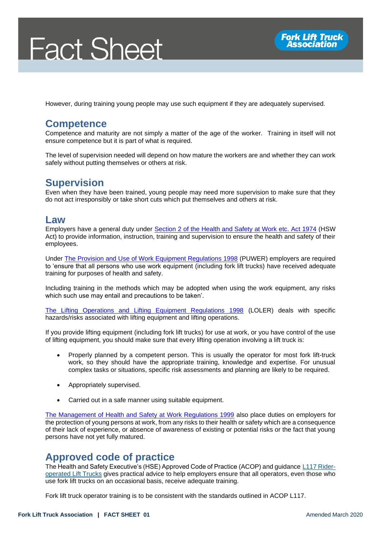# **Fact Sheet**



However, during training young people may use such equipment if they are adequately supervised.

#### **Competence**

Competence and maturity are not simply a matter of the age of the worker. Training in itself will not ensure competence but it is part of what is required.

The level of supervision needed will depend on how mature the workers are and whether they can work safely without putting themselves or others at risk.

## **Supervision**

Even when they have been trained, young people may need more supervision to make sure that they do not act irresponsibly or take short cuts which put themselves and others at risk.

#### **Law**

Employers have a general duty under [Section 2 of the Health and Safety at Work etc. Act 1974](http://www.legislation.gov.uk/ukpga/1974/37/section/2) (HSW Act) to provide information, instruction, training and supervision to ensure the health and safety of their employees.

Under [The Provision and Use of Work Equipment Regulations 1998](http://www.legislation.gov.uk/uksi/1998/2306/contents/made) (PUWER) employers are required to 'ensure that all persons who use work equipment (including fork lift trucks) have received adequate training for purposes of health and safety.

Including training in the methods which may be adopted when using the work equipment, any risks which such use may entail and precautions to be taken'.

[The Lifting Operations and Lifting Equipment Regulations 1998](http://www.legislation.gov.uk/uksi/1998/2307/contents/made) (LOLER) deals with specific hazards/risks associated with lifting equipment and lifting operations.

If you provide lifting equipment (including fork lift trucks) for use at work, or you have control of the use of lifting equipment, you should make sure that every lifting operation involving a lift truck is:

- Properly planned by a competent person. This is usually the operator for most fork lift-truck work, so they should have the appropriate training, knowledge and expertise. For unusual complex tasks or situations, specific risk assessments and planning are likely to be required.
- Appropriately supervised.
- Carried out in a safe manner using suitable equipment.

[The Management of Health and Safety at Work Regulations 1999](http://www.legislation.gov.uk/uksi/1999/3242/contents/made) also place duties on employers for the protection of young persons at work, from any risks to their health or safety which are a consequence of their lack of experience, or absence of awareness of existing or potential risks or the fact that young persons have not yet fully matured.

#### **Approved code of practice**

The Health and Safety Executive's (HSE) Approved Code of Practice (ACOP) and guidance [L117 Rider](http://www.hse.gov.uk/pUbns/priced/l117.pdf)[operated Lift Trucks](http://www.hse.gov.uk/pUbns/priced/l117.pdf) gives practical advice to help employers ensure that all operators, even those who use fork lift trucks on an occasional basis, receive adequate training.

Fork lift truck operator training is to be consistent with the standards outlined in ACOP L117.